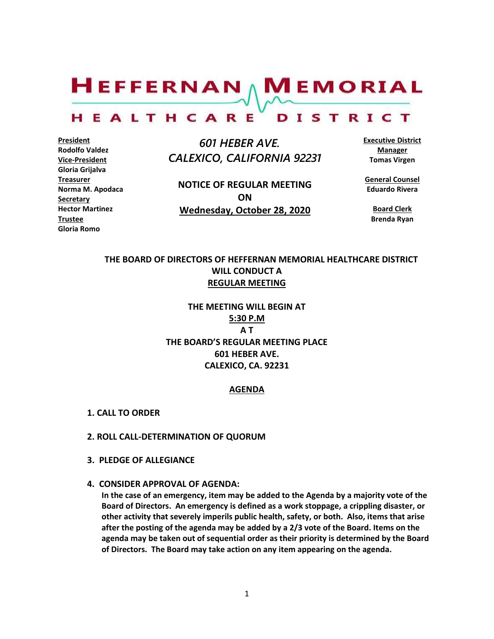$H$ EFFERNAN  $\wedge$  M EMORIAL

#### HEALTHCARE DISTRICT

**President Rodolfo Valdez Vice-President Gloria Grijalva Treasurer Norma M. Apodaca Secretary Hector Martinez Trustee Gloria Romo**

 *601 HEBER AVE. CALEXICO, CALIFORNIA 92231*

**NOTICE OF REGULAR MEETING ON Wednesday, October 28, 2020**

**Executive District Manager Tomas Virgen**

**General Counsel Eduardo Rivera**

**Board Clerk Brenda Ryan**

# **THE BOARD OF DIRECTORS OF HEFFERNAN MEMORIAL HEALTHCARE DISTRICT WILL CONDUCT A REGULAR MEETING**

**THE MEETING WILL BEGIN AT 5:30 P.M A T THE BOARD'S REGULAR MEETING PLACE 601 HEBER AVE. CALEXICO, CA. 92231**

#### **AGENDA**

- **1. CALL TO ORDER**
- **2. ROLL CALL-DETERMINATION OF QUORUM**
- **3. PLEDGE OF ALLEGIANCE**
- **4. CONSIDER APPROVAL OF AGENDA:**

**In the case of an emergency, item may be added to the Agenda by a majority vote of the Board of Directors. An emergency is defined as a work stoppage, a crippling disaster, or other activity that severely imperils public health, safety, or both. Also, items that arise after the posting of the agenda may be added by a 2/3 vote of the Board. Items on the agenda may be taken out of sequential order as their priority is determined by the Board of Directors. The Board may take action on any item appearing on the agenda.**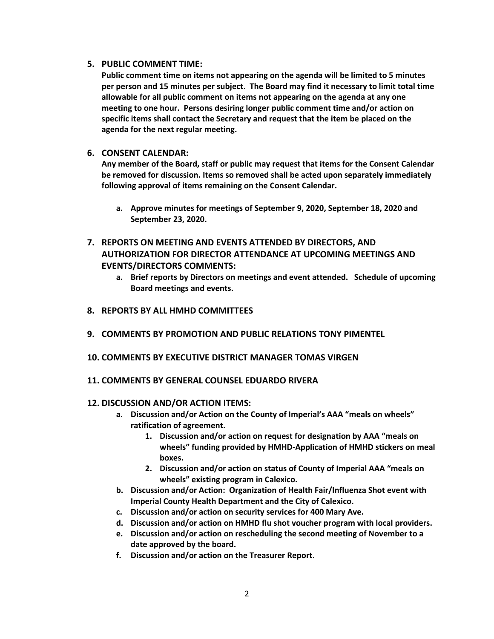## **5. PUBLIC COMMENT TIME:**

**Public comment time on items not appearing on the agenda will be limited to 5 minutes per person and 15 minutes per subject. The Board may find it necessary to limit total time allowable for all public comment on items not appearing on the agenda at any one meeting to one hour. Persons desiring longer public comment time and/or action on specific items shall contact the Secretary and request that the item be placed on the agenda for the next regular meeting.**

## **6. CONSENT CALENDAR:**

**Any member of the Board, staff or public may request that items for the Consent Calendar be removed for discussion. Items so removed shall be acted upon separately immediately following approval of items remaining on the Consent Calendar.**

- **a. Approve minutes for meetings of September 9, 2020, September 18, 2020 and September 23, 2020.**
- **7. REPORTS ON MEETING AND EVENTS ATTENDED BY DIRECTORS, AND AUTHORIZATION FOR DIRECTOR ATTENDANCE AT UPCOMING MEETINGS AND EVENTS/DIRECTORS COMMENTS:**
	- **a. Brief reports by Directors on meetings and event attended. Schedule of upcoming Board meetings and events.**
- **8. REPORTS BY ALL HMHD COMMITTEES**
- **9. COMMENTS BY PROMOTION AND PUBLIC RELATIONS TONY PIMENTEL**
- **10. COMMENTS BY EXECUTIVE DISTRICT MANAGER TOMAS VIRGEN**
- **11. COMMENTS BY GENERAL COUNSEL EDUARDO RIVERA**

## **12. DISCUSSION AND/OR ACTION ITEMS:**

- **a. Discussion and/or Action on the County of Imperial's AAA "meals on wheels" ratification of agreement.**
	- **1. Discussion and/or action on request for designation by AAA "meals on wheels" funding provided by HMHD-Application of HMHD stickers on meal boxes.**
	- **2. Discussion and/or action on status of County of Imperial AAA "meals on wheels" existing program in Calexico.**
- **b. Discussion and/or Action: Organization of Health Fair/Influenza Shot event with Imperial County Health Department and the City of Calexico.**
- **c. Discussion and/or action on security services for 400 Mary Ave.**
- **d. Discussion and/or action on HMHD flu shot voucher program with local providers.**
- **e. Discussion and/or action on rescheduling the second meeting of November to a date approved by the board.**
- **f. Discussion and/or action on the Treasurer Report.**